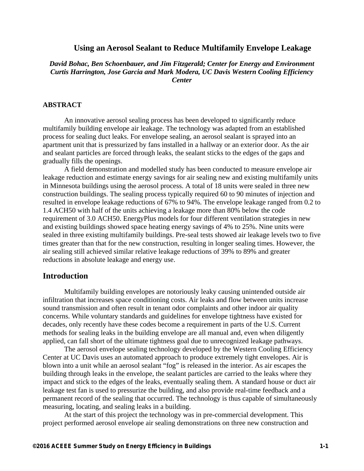# **Using an Aerosol Sealant to Reduce Multifamily Envelope Leakage**

*David Bohac, Ben Schoenbauer, and Jim Fitzgerald; Center for Energy and Environment Curtis Harrington, Jose Garcia and Mark Modera, UC Davis Western Cooling Efficiency Center* 

# **ABSTRACT**

An innovative aerosol sealing process has been developed to significantly reduce multifamily building envelope air leakage. The technology was adapted from an established process for sealing duct leaks. For envelope sealing, an aerosol sealant is sprayed into an apartment unit that is pressurized by fans installed in a hallway or an exterior door. As the air and sealant particles are forced through leaks, the sealant sticks to the edges of the gaps and gradually fills the openings.

A field demonstration and modelled study has been conducted to measure envelope air leakage reduction and estimate energy savings for air sealing new and existing multifamily units in Minnesota buildings using the aerosol process. A total of 18 units were sealed in three new construction buildings. The sealing process typically required 60 to 90 minutes of injection and resulted in envelope leakage reductions of 67% to 94%. The envelope leakage ranged from 0.2 to 1.4 ACH50 with half of the units achieving a leakage more than 80% below the code requirement of 3.0 ACH50. EnergyPlus models for four different ventilation strategies in new and existing buildings showed space heating energy savings of 4% to 25%. Nine units were sealed in three existing multifamily buildings. Pre-seal tests showed air leakage levels two to five times greater than that for the new construction, resulting in longer sealing times. However, the air sealing still achieved similar relative leakage reductions of 39% to 89% and greater reductions in absolute leakage and energy use.

# **Introduction**

Multifamily building envelopes are notoriously leaky causing unintended outside air infiltration that increases space conditioning costs. Air leaks and flow between units increase sound transmission and often result in tenant odor complaints and other indoor air quality concerns. While voluntary standards and guidelines for envelope tightness have existed for decades, only recently have these codes become a requirement in parts of the U.S. Current methods for sealing leaks in the building envelope are all manual and, even when diligently applied, can fall short of the ultimate tightness goal due to unrecognized leakage pathways.

The aerosol envelope sealing technology developed by the Western Cooling Efficiency Center at UC Davis uses an automated approach to produce extremely tight envelopes. Air is blown into a unit while an aerosol sealant "fog" is released in the interior. As air escapes the building through leaks in the envelope, the sealant particles are carried to the leaks where they impact and stick to the edges of the leaks, eventually sealing them. A standard house or duct air leakage test fan is used to pressurize the building, and also provide real-time feedback and a permanent record of the sealing that occurred. The technology is thus capable of simultaneously measuring, locating, and sealing leaks in a building.

At the start of this project the technology was in pre-commercial development. This project performed aerosol envelope air sealing demonstrations on three new construction and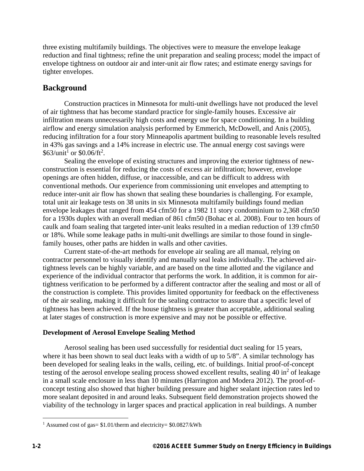three existing multifamily buildings. The objectives were to measure the envelope leakage reduction and final tightness; refine the unit preparation and sealing process; model the impact of envelope tightness on outdoor air and inter-unit air flow rates; and estimate energy savings for tighter envelopes.

# **Background**

Construction practices in Minnesota for multi-unit dwellings have not produced the level of air tightness that has become standard practice for single-family houses. Excessive air infiltration means unnecessarily high costs and energy use for space conditioning. In a building airflow and energy simulation analysis performed by Emmerich, McDowell, and Anis (2005), reducing infiltration for a four story Minneapolis apartment building to reasonable levels resulted in 43% gas savings and a 14% increase in electric use. The annual energy cost savings were  $$63/unit<sup>1</sup>$  or  $$0.06/ft<sup>2</sup>$ .

Sealing the envelope of existing structures and improving the exterior tightness of newconstruction is essential for reducing the costs of excess air infiltration; however, envelope openings are often hidden, diffuse, or inaccessible, and can be difficult to address with conventional methods. Our experience from commissioning unit envelopes and attempting to reduce inter-unit air flow has shown that sealing these boundaries is challenging. For example, total unit air leakage tests on 38 units in six Minnesota multifamily buildings found median envelope leakages that ranged from 454 cfm50 for a 1982 11 story condominium to 2,368 cfm50 for a 1930s duplex with an overall median of 861 cfm50 (Bohac et al. 2008). Four to ten hours of caulk and foam sealing that targeted inter-unit leaks resulted in a median reduction of 139 cfm50 or 18%. While some leakage paths in multi-unit dwellings are similar to those found in singlefamily houses, other paths are hidden in walls and other cavities.

Current state-of-the-art methods for envelope air sealing are all manual, relying on contractor personnel to visually identify and manually seal leaks individually. The achieved airtightness levels can be highly variable, and are based on the time allotted and the vigilance and experience of the individual contractor that performs the work. In addition, it is common for airtightness verification to be performed by a different contractor after the sealing and most or all of the construction is complete. This provides limited opportunity for feedback on the effectiveness of the air sealing, making it difficult for the sealing contractor to assure that a specific level of tightness has been achieved. If the house tightness is greater than acceptable, additional sealing at later stages of construction is more expensive and may not be possible or effective.

# **Development of Aerosol Envelope Sealing Method**

Aerosol sealing has been used successfully for residential duct sealing for 15 years, where it has been shown to seal duct leaks with a width of up to 5/8". A similar technology has been developed for sealing leaks in the walls, ceiling, etc. of buildings. Initial proof-of-concept testing of the aerosol envelope sealing process showed excellent results, sealing  $40 \text{ in}^2$  of leakage in a small scale enclosure in less than 10 minutes (Harrington and Modera 2012). The proof-ofconcept testing also showed that higher building pressure and higher sealant injection rates led to more sealant deposited in and around leaks. Subsequent field demonstration projects showed the viability of the technology in larger spaces and practical application in real buildings. A number

 $\overline{a}$ 

<sup>&</sup>lt;sup>1</sup> Assumed cost of gas= $$1.01$ /therm and electricity= $$0.0827$ /kWh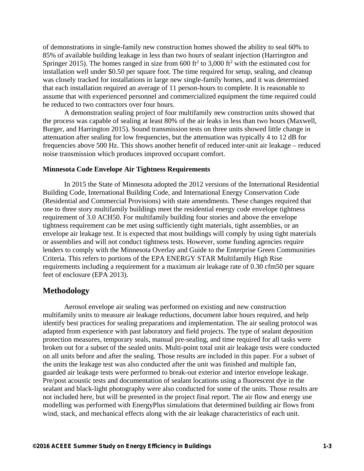of demonstrations in single-family new construction homes showed the ability to seal 60% to 85% of available building leakage in less than two hours of sealant injection (Harrington and Springer 2015). The homes ranged in size from 600 ft<sup>2</sup> to 3,000 ft<sup>2</sup> with the estimated cost for installation well under \$0.50 per square foot. The time required for setup, sealing, and cleanup was closely tracked for installations in large new single-family homes, and it was determined that each installation required an average of 11 person-hours to complete. It is reasonable to assume that with experienced personnel and commercialized equipment the time required could be reduced to two contractors over four hours.

A demonstration sealing project of four multifamily new construction units showed that the process was capable of sealing at least 80% of the air leaks in less than two hours (Maxwell, Burger, and Harrington 2015). Sound transmission tests on three units showed little change in attenuation after sealing for low frequencies, but the attenuation was typically 4 to 12 dB for frequencies above 500 Hz. This shows another benefit of reduced inter-unit air leakage – reduced noise transmission which produces improved occupant comfort.

#### **Minnesota Code Envelope Air Tightness Requirements**

In 2015 the State of Minnesota adopted the 2012 versions of the International Residential Building Code, International Building Code, and International Energy Conservation Code (Residential and Commercial Provisions) with state amendments. These changes required that one to three story multifamily buildings meet the residential energy code envelope tightness requirement of 3.0 ACH50. For multifamily building four stories and above the envelope tightness requirement can be met using sufficiently tight materials, tight assemblies, or an envelope air leakage test. It is expected that most buildings will comply by using tight materials or assemblies and will not conduct tightness tests. However, some funding agencies require lenders to comply with the Minnesota Overlay and Guide to the Enterprise Green Communities Criteria. This refers to portions of the EPA ENERGY STAR Multifamily High Rise requirements including a requirement for a maximum air leakage rate of 0.30 cfm50 per square feet of enclosure (EPA 2013).

# **Methodology**

Aerosol envelope air sealing was performed on existing and new construction multifamily units to measure air leakage reductions, document labor hours required, and help identify best practices for sealing preparations and implementation. The air sealing protocol was adapted from experience with past laboratory and field projects. The type of sealant deposition protection measures, temporary seals, manual pre-sealing, and time required for all tasks were broken out for a subset of the sealed units. Multi-point total unit air leakage tests were conducted on all units before and after the sealing. Those results are included in this paper. For a subset of the units the leakage test was also conducted after the unit was finished and multiple fan, guarded air leakage tests were performed to break-out exterior and interior envelope leakage. Pre/post acoustic tests and documentation of sealant locations using a fluorescent dye in the sealant and black-light photography were also conducted for some of the units. Those results are not included here, but will be presented in the project final report. The air flow and energy use modelling was performed with EnergyPlus simulations that determined building air flows from wind, stack, and mechanical effects along with the air leakage characteristics of each unit.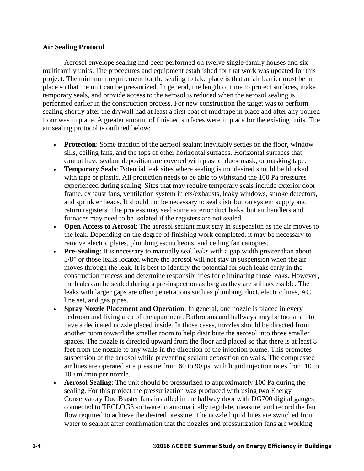# **Air Sealing Protocol**

Aerosol envelope sealing had been performed on twelve single-family houses and six multifamily units. The procedures and equipment established for that work was updated for this project. The minimum requirement for the sealing to take place is that an air barrier must be in place so that the unit can be pressurized. In general, the length of time to protect surfaces, make temporary seals, and provide access to the aerosol is reduced when the aerosol sealing is performed earlier in the construction process. For new construction the target was to perform sealing shortly after the drywall had at least a first coat of mud/tape in place and after any poured floor was in place. A greater amount of finished surfaces were in place for the existing units. The air sealing protocol is outlined below:

- **Protection**: Some fraction of the aerosol sealant inevitably settles on the floor, window sills, ceiling fans, and the tops of other horizontal surfaces. Horizontal surfaces that cannot have sealant deposition are covered with plastic, duck mask, or masking tape.
- **Temporary Seals**: Potential leak sites where sealing is not desired should be blocked with tape or plastic. All protection needs to be able to withstand the 100 Pa pressures experienced during sealing. Sites that may require temporary seals include exterior door frame, exhaust fans, ventilation system inlets/exhausts, leaky windows, smoke detectors, and sprinkler heads. It should not be necessary to seal distribution system supply and return registers. The process may seal some exterior duct leaks, but air handlers and furnaces may need to be isolated if the registers are not sealed.
- **Open Access to Aerosol**: The aerosol sealant must stay in suspension as the air moves to the leak. Depending on the degree of finishing work completed, it may be necessary to remove electric plates, plumbing escutcheons, and ceiling fan canopies.
- **Pre-Sealing**: It is necessary to manually seal leaks with a gap width greater than about 3/8" or those leaks located where the aerosol will not stay in suspension when the air moves through the leak. It is best to identify the potential for such leaks early in the construction process and determine responsibilities for eliminating those leaks. However, the leaks can be sealed during a pre-inspection as long as they are still accessible. The leaks with larger gaps are often penetrations such as plumbing, duct, electric lines, AC line set, and gas pipes.
- **Spray Nozzle Placement and Operation**: In general, one nozzle is placed in every bedroom and living area of the apartment. Bathrooms and hallways may be too small to have a dedicated nozzle placed inside. In those cases, nozzles should be directed from another room toward the smaller room to help distribute the aerosol into those smaller spaces. The nozzle is directed upward from the floor and placed so that there is at least 8 feet from the nozzle to any walls in the direction of the injection plume. This promotes suspension of the aerosol while preventing sealant deposition on walls. The compressed air lines are operated at a pressure from 60 to 90 psi with liquid injection rates from 10 to 100 ml/min per nozzle.
- **Aerosol Sealing**: The unit should be pressurized to approximately 100 Pa during the sealing. For this project the pressurization was produced with using two Energy Conservatory DuctBlaster fans installed in the hallway door with DG700 digital gauges connected to TECLOG3 software to automatically regulate, measure, and record the fan flow required to achieve the desired pressure. The nozzle liquid lines are switched from water to sealant after confirmation that the nozzles and pressurization fans are working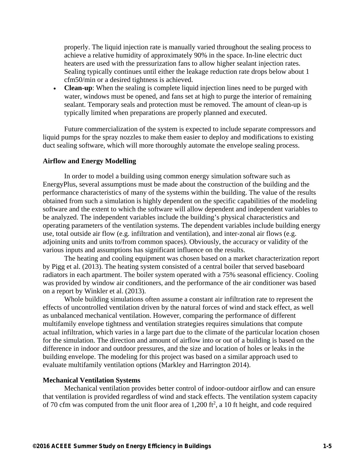properly. The liquid injection rate is manually varied throughout the sealing process to achieve a relative humidity of approximately 90% in the space. In-line electric duct heaters are used with the pressurization fans to allow higher sealant injection rates. Sealing typically continues until either the leakage reduction rate drops below about 1 cfm50/min or a desired tightness is achieved.

• **Clean-up**: When the sealing is complete liquid injection lines need to be purged with water, windows must be opened, and fans set at high to purge the interior of remaining sealant. Temporary seals and protection must be removed. The amount of clean-up is typically limited when preparations are properly planned and executed.

Future commercialization of the system is expected to include separate compressors and liquid pumps for the spray nozzles to make them easier to deploy and modifications to existing duct sealing software, which will more thoroughly automate the envelope sealing process.

#### **Airflow and Energy Modelling**

In order to model a building using common energy simulation software such as EnergyPlus, several assumptions must be made about the construction of the building and the performance characteristics of many of the systems within the building. The value of the results obtained from such a simulation is highly dependent on the specific capabilities of the modeling software and the extent to which the software will allow dependent and independent variables to be analyzed. The independent variables include the building's physical characteristics and operating parameters of the ventilation systems. The dependent variables include building energy use, total outside air flow (e.g. infiltration and ventilation), and inter-zonal air flows (e.g. adjoining units and units to/from common spaces). Obviously, the accuracy or validity of the various inputs and assumptions has significant influence on the results.

The heating and cooling equipment was chosen based on a market characterization report by Pigg et al. (2013). The heating system consisted of a central boiler that served baseboard radiators in each apartment. The boiler system operated with a 75% seasonal efficiency. Cooling was provided by window air conditioners, and the performance of the air conditioner was based on a report by Winkler et al. (2013).

Whole building simulations often assume a constant air infiltration rate to represent the effects of uncontrolled ventilation driven by the natural forces of wind and stack effect, as well as unbalanced mechanical ventilation. However, comparing the performance of different multifamily envelope tightness and ventilation strategies requires simulations that compute actual infiltration, which varies in a large part due to the climate of the particular location chosen for the simulation. The direction and amount of airflow into or out of a building is based on the difference in indoor and outdoor pressures, and the size and location of holes or leaks in the building envelope. The modeling for this project was based on a similar approach used to evaluate multifamily ventilation options (Markley and Harrington 2014).

#### **Mechanical Ventilation Systems**

Mechanical ventilation provides better control of indoor-outdoor airflow and can ensure that ventilation is provided regardless of wind and stack effects. The ventilation system capacity of 70 cfm was computed from the unit floor area of  $1,200$  ft<sup>2</sup>, a 10 ft height, and code required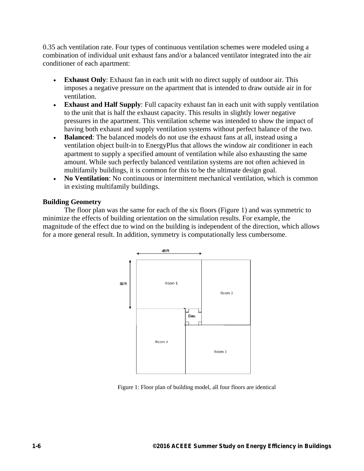0.35 ach ventilation rate. Four types of continuous ventilation schemes were modeled using a combination of individual unit exhaust fans and/or a balanced ventilator integrated into the air conditioner of each apartment:

- **Exhaust Only**: Exhaust fan in each unit with no direct supply of outdoor air. This imposes a negative pressure on the apartment that is intended to draw outside air in for ventilation.
- **Exhaust and Half Supply**: Full capacity exhaust fan in each unit with supply ventilation to the unit that is half the exhaust capacity. This results in slightly lower negative pressures in the apartment. This ventilation scheme was intended to show the impact of having both exhaust and supply ventilation systems without perfect balance of the two.
- **Balanced**: The balanced models do not use the exhaust fans at all, instead using a ventilation object built-in to EnergyPlus that allows the window air conditioner in each apartment to supply a specified amount of ventilation while also exhausting the same amount. While such perfectly balanced ventilation systems are not often achieved in multifamily buildings, it is common for this to be the ultimate design goal.
- **No Ventilation**: No continuous or intermittent mechanical ventilation, which is common in existing multifamily buildings.

# **Building Geometry**

The floor plan was the same for each of the six floors (Figure 1) and was symmetric to minimize the effects of building orientation on the simulation results. For example, the magnitude of the effect due to wind on the building is independent of the direction, which allows for a more general result. In addition, symmetry is computationally less cumbersome.



Figure 1: Floor plan of building model, all four floors are identical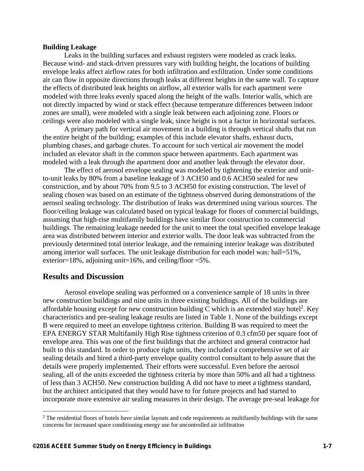#### **Building Leakage**

Leaks in the building surfaces and exhaust registers were modeled as crack leaks. Because wind- and stack-driven pressures vary with building height, the locations of building envelope leaks affect airflow rates for both infiltration and exfiltration. Under some conditions air can flow in opposite directions through leaks at different heights in the same wall. To capture the effects of distributed leak heights on airflow, all exterior walls for each apartment were modeled with three leaks evenly spaced along the height of the walls. Interior walls, which are not directly impacted by wind or stack effect (because temperature differences between indoor zones are small), were modeled with a single leak between each adjoining zone. Floors or ceilings were also modeled with a single leak, since height is not a factor in horizontal surfaces.

A primary path for vertical air movement in a building is through vertical shafts that run the entire height of the building; examples of this include elevator shafts, exhaust ducts, plumbing chases, and garbage chutes. To account for such vertical air movement the model included an elevator shaft in the common space between apartments. Each apartment was modeled with a leak through the apartment door and another leak through the elevator door.

The effect of aerosol envelope sealing was modeled by tightening the exterior and unitto-unit leaks by 80% from a baseline leakage of 3 ACH50 and 0.6 ACH50 sealed for new construction, and by about 70% from 9.5 to 3 ACH50 for existing construction. The level of sealing chosen was based on an estimate of the tightness observed during demonstrations of the aerosol sealing technology. The distribution of leaks was determined using various sources. The floor/ceiling leakage was calculated based on typical leakage for floors of commercial buildings, assuming that high-rise multifamily buildings have similar floor construction to commercial buildings. The remaining leakage needed for the unit to meet the total specified envelope leakage area was distributed between interior and exterior walls. The door leak was subtracted from the previously determined total interior leakage, and the remaining interior leakage was distributed among interior wall surfaces. The unit leakage distribution for each model was: hall=51%, exterior=18%, adjoining unit=16%, and ceiling/floor =5%.

# **Results and Discussion**

1

Aerosol envelope sealing was performed on a convenience sample of 18 units in three new construction buildings and nine units in three existing buildings. All of the buildings are affordable housing except for new construction building C which is an extended stay hotel<sup>2</sup>. Key characteristics and pre-sealing leakage results are listed in Table 1. None of the buildings except B were required to meet an envelope tightness criterion. Building B was required to meet the EPA ENERGY STAR Multifamily High Rise tightness criterion of 0.3 cfm50 per square foot of envelope area. This was one of the first buildings that the architect and general contractor had built to this standard. In order to produce tight units, they included a comprehensive set of air sealing details and hired a third-party envelope quality control consultant to help assure that the details were properly implemented. Their efforts were successful. Even before the aerosol sealing, all of the units exceeded the tightness criteria by more than 50% and all had a tightness of less than 3 ACH50. New construction building A did not have to meet a tightness standard, but the architect anticipated that they would have to for future projects and had started to incorporate more extensive air sealing measures in their design. The average pre-seal leakage for

<sup>&</sup>lt;sup>2</sup> The residential floors of hotels have similar layouts and code requirements as multifamily buildings with the same concerns for increased space conditioning energy use for uncontrolled air infiltration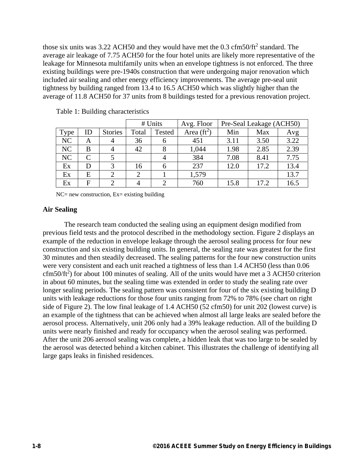those six units was 3.22 ACH50 and they would have met the  $0.3 \text{ cfm}$ 50/ft<sup>2</sup> standard. The average air leakage of 7.75 ACH50 for the four hotel units are likely more representative of the leakage for Minnesota multifamily units when an envelope tightness is not enforced. The three existing buildings were pre-1940s construction that were undergoing major renovation which included air sealing and other energy efficiency improvements. The average pre-seal unit tightness by building ranged from 13.4 to 16.5 ACH50 which was slightly higher than the average of 11.8 ACH50 for 37 units from 8 buildings tested for a previous renovation project.

|      |    |                |                        | # Units        | Avg. Floor    | Pre-Seal Leakage (ACH50) |      |      |
|------|----|----------------|------------------------|----------------|---------------|--------------------------|------|------|
| Type | ID | <b>Stories</b> | Total<br><b>Tested</b> |                | Area $(ft^2)$ | Min                      | Max  | Avg  |
| NC   | A  |                | 36                     | h              | 451           | 3.11                     | 3.50 | 3.22 |
| NC   | B  |                | 42                     | 8              | 1,044         | 1.98                     | 2.85 | 2.39 |
| NC   | C  |                |                        |                | 384           | 7.08                     | 8.41 | 7.75 |
| Ex   | D  |                | 16                     | h              | 237           | 12.0                     | 17.2 | 13.4 |
| Ex   | E  |                |                        |                | 1,579         |                          |      | 13.7 |
| Ex   | F  |                | 4                      | $\mathfrak{D}$ | 760           | 15.8                     | 17.2 | 16.5 |

Table 1: Building characteristics

 $NC = new construction, Ex = existing building$ 

# **Air Sealing**

The research team conducted the sealing using an equipment design modified from previous field tests and the protocol described in the methodology section. Figure 2 displays an example of the reduction in envelope leakage through the aerosol sealing process for four new construction and six existing building units. In general, the sealing rate was greatest for the first 30 minutes and then steadily decreased. The sealing patterns for the four new construction units were very consistent and each unit reached a tightness of less than 1.4 ACH50 (less than 0.06  $cfm50/ft<sup>2</sup>$ ) for about 100 minutes of sealing. All of the units would have met a 3 ACH50 criterion in about 60 minutes, but the sealing time was extended in order to study the sealing rate over longer sealing periods. The sealing pattern was consistent for four of the six existing building D units with leakage reductions for those four units ranging from 72% to 78% (see chart on right side of Figure 2). The low final leakage of 1.4 ACH50 (52 cfm50) for unit 202 (lowest curve) is an example of the tightness that can be achieved when almost all large leaks are sealed before the aerosol process. Alternatively, unit 206 only had a 39% leakage reduction. All of the building D units were nearly finished and ready for occupancy when the aerosol sealing was performed. After the unit 206 aerosol sealing was complete, a hidden leak that was too large to be sealed by the aerosol was detected behind a kitchen cabinet. This illustrates the challenge of identifying all large gaps leaks in finished residences.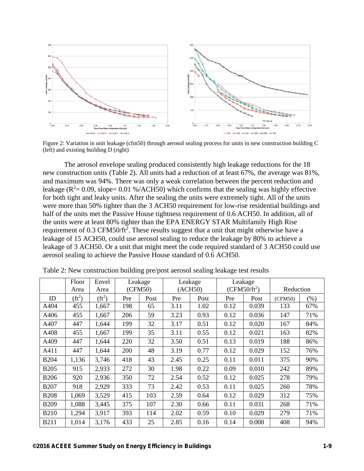

Figure 2: Variation in unit leakage (cfm50) through aerosol sealing process for units in new construction building C (left) and existing building D (right)

The aerosol envelope sealing produced consistently high leakage reductions for the 18 new construction units (Table 2). All units had a reduction of at least 67%, the average was 81%, and maximum was 94%. There was only a weak correlation between the percent reduction and leakage ( $R^2$  = 0.09, slope = 0.01 %/ACH50) which confirms that the sealing was highly effective for both tight and leaky units. After the sealing the units were extremely tight. All of the units were more than 50% tighter than the 3 ACH50 requirement for low-rise residential buildings and half of the units met the Passive House tightness requirement of 0.6 ACH50. In addition, all of the units were at least 80% tighter than the EPA ENERGY STAR Multifamily High Rise requirement of  $0.3 \text{ CFM}$ 50/ft<sup>2</sup>. These results suggest that a unit that might otherwise have a leakage of 15 ACH50, could use aerosol sealing to reduce the leakage by 80% to achieve a leakage of 3 ACH50. Or a unit that might meet the code required standard of 3 ACH50 could use aerosol sealing to achieve the Passive House standard of 0.6 ACH50.

|             | Floor<br>Area | Envel<br>Area | Leakage<br>(CFM50) |      | Leakage<br>(ACH50) |      | Leakage<br>$(CFM50/ft^2)$ |       | Reduction |         |
|-------------|---------------|---------------|--------------------|------|--------------------|------|---------------------------|-------|-----------|---------|
| ID          | $(f t^2)$     | $(f t^2)$     | Pre                | Post | Pre                | Post | Pre                       | Post  | (CFM50)   | $(\% )$ |
| A404        | 455           | 1,667         | 198                | 65   | 3.11               | 1.02 | 0.12                      | 0.039 | 133       | 67%     |
| A406        | 455           | 1,667         | 206                | 59   | 3.23               | 0.93 | 0.12                      | 0.036 | 147       | 71%     |
| A407        | 447           | 1,644         | 199                | 32   | 3.17               | 0.51 | 0.12                      | 0.020 | 167       | 84%     |
| A408        | 455           | 1,667         | 199                | 35   | 3.11               | 0.55 | 0.12                      | 0.021 | 163       | 82%     |
| A409        | 447           | 1,644         | 220                | 32   | 3.50               | 0.51 | 0.13                      | 0.019 | 188       | 86%     |
| A411        | 447           | 1,644         | 200                | 48   | 3.19               | 0.77 | 0.12                      | 0.029 | 152       | 76%     |
| <b>B204</b> | 1,136         | 3,746         | 418                | 43   | 2.45               | 0.25 | 0.11                      | 0.011 | 375       | 90%     |
| <b>B205</b> | 915           | 2,933         | 272                | 30   | 1.98               | 0.22 | 0.09                      | 0.010 | 242       | 89%     |
| <b>B206</b> | 920           | 2,936         | 350                | 72   | 2.54               | 0.52 | 0.12                      | 0.025 | 278       | 79%     |
| <b>B207</b> | 918           | 2,929         | 333                | 73   | 2.42               | 0.53 | 0.11                      | 0.025 | 260       | 78%     |
| <b>B208</b> | 1,069         | 3,529         | 415                | 103  | 2.59               | 0.64 | 0.12                      | 0.029 | 312       | 75%     |
| <b>B209</b> | 1,088         | 3,445         | 375                | 107  | 2.30               | 0.66 | 0.11                      | 0.031 | 268       | 71%     |
| <b>B210</b> | 1,294         | 3,917         | 393                | 114  | 2.02               | 0.59 | 0.10                      | 0.029 | 279       | 71%     |
| <b>B211</b> | 1,014         | 3,176         | 433                | 25   | 2.85               | 0.16 | 0.14                      | 0.008 | 408       | 94%     |

Table 2: New construction building pre/post aerosol sealing leakage test results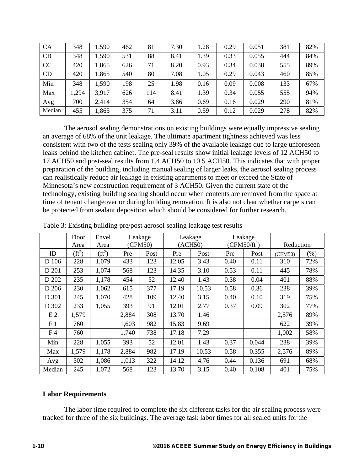| <b>CA</b> | 348  | 1,590 | 462 | 81  | 7.30 | 1.28 | 0.29 | 0.051 | 381 | 82% |
|-----------|------|-------|-----|-----|------|------|------|-------|-----|-----|
| CB        | 348  | 1,590 | 531 | 88  | 8.41 | 1.39 | 0.33 | 0.055 | 444 | 84% |
| CC        | 420  | 1,865 | 626 | 71  | 8.20 | 0.93 | 0.34 | 0.038 | 555 | 89% |
| CD        | 420  | 1,865 | 540 | 80  | 7.08 | 1.05 | 0.29 | 0.043 | 460 | 85% |
| Min       | 348  | 1,590 | 198 | 25  | 1.98 | 0.16 | 0.09 | 0.008 | 133 | 67% |
| Max       | ,294 | 3,917 | 626 | 114 | 8.41 | 1.39 | 0.34 | 0.055 | 555 | 94% |
| Avg       | 700  | 2,414 | 354 | 64  | 3.86 | 0.69 | 0.16 | 0.029 | 290 | 81% |
| Median    | 455  | 1,865 | 375 | 71  | 3.11 | 0.59 | 0.12 | 0.029 | 278 | 82% |

The aerosol sealing demonstrations on existing buildings were equally impressive sealing an average of 68% of the unit leakage. The ultimate apartment tightness achieved was less consistent with two of the tests sealing only 39% of the available leakage due to large unforeseen leaks behind the kitchen cabinet. The pre-seal results show initial leakage levels of 12 ACH50 to 17 ACH50 and post-seal results from 1.4 ACH50 to 10.5 ACH50. This indicates that with proper preparation of the building, including manual sealing of larger leaks, the aerosol sealing process can realistically reduce air leakage in existing apartments to meet or exceed the State of Minnesota's new construction requirement of 3 ACH50. Given the current state of the technology, existing building sealing should occur when contents are removed from the space at time of tenant changeover or during building renovation. It is also not clear whether carpets can be protected from sealant deposition which should be considered for further research.

|                | Floor     | Envel    | Leakage |         | Leakage |       | Leakage        |       |           |      |
|----------------|-----------|----------|---------|---------|---------|-------|----------------|-------|-----------|------|
|                | Area      | Area     |         | (CFM50) | (ACH50) |       | $(CFM50/ft^2)$ |       | Reduction |      |
| ID             | $(f t^2)$ | $(ft^2)$ | Pre     | Post    | Pre     | Post  | Pre            | Post  | (CFM50)   | (% ) |
| D 106          | 228       | 1,079    | 433     | 123     | 12.05   | 3.43  | 0.40           | 0.11  | 310       | 72%  |
| D 201          | 253       | 1,074    | 568     | 123     | 14.35   | 3.10  | 0.53           | 0.11  | 445       | 78%  |
| D 202          | 235       | 1,178    | 454     | 52      | 12.40   | 1.43  | 0.38           | 0.04  | 401       | 88%  |
| D 206          | 230       | 1,062    | 615     | 377     | 17.19   | 10.53 | 0.58           | 0.36  | 238       | 39%  |
| D 301          | 245       | 1,070    | 428     | 109     | 12.40   | 3.15  | 0.40           | 0.10  | 319       | 75%  |
| D 302          | 233       | 1,055    | 393     | 91      | 12.01   | 2.77  | 0.37           | 0.09  | 302       | 77%  |
| E <sub>2</sub> | 1,579     |          | 2,884   | 308     | 13.70   | 1.46  |                |       | 2,576     | 89%  |
| F <sub>1</sub> | 760       |          | 1,603   | 982     | 15.83   | 9.69  |                |       | 622       | 39%  |
| F <sub>4</sub> | 760       |          | 1,740   | 738     | 17.18   | 7.29  |                |       | 1,002     | 58%  |
| Min            | 228       | 1,055    | 393     | 52      | 12.01   | 1.43  | 0.37           | 0.044 | 238       | 39%  |
| Max            | 1,579     | 1,178    | 2,884   | 982     | 17.19   | 10.53 | 0.58           | 0.355 | 2,576     | 89%  |
| Avg            | 502       | 1,086    | 1,013   | 322     | 14.12   | 4.76  | 0.44           | 0.136 | 691       | 68%  |
| Median         | 245       | 1,072    | 568     | 123     | 13.70   | 3.15  | 0.40           | 0.108 | 401       | 75%  |

Table 3: Existing building pre/post aerosol sealing leakage test results

#### **Labor Requirements**

The labor time required to complete the six different tasks for the air sealing process were tracked for three of the six buildings. The average task labor times for all sealed units for the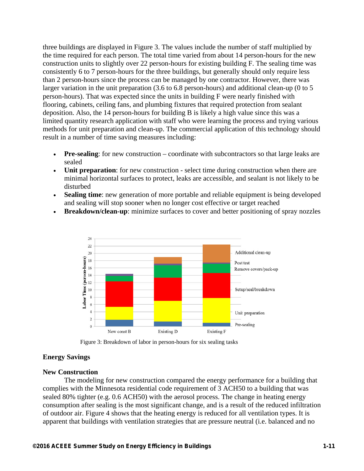three buildings are displayed in Figure 3. The values include the number of staff multiplied by the time required for each person. The total time varied from about 14 person-hours for the new construction units to slightly over 22 person-hours for existing building F. The sealing time was consistently 6 to 7 person-hours for the three buildings, but generally should only require less than 2 person-hours since the process can be managed by one contractor. However, there was larger variation in the unit preparation (3.6 to 6.8 person-hours) and additional clean-up (0 to 5 person-hours). That was expected since the units in building F were nearly finished with flooring, cabinets, ceiling fans, and plumbing fixtures that required protection from sealant deposition. Also, the 14 person-hours for building B is likely a high value since this was a limited quantity research application with staff who were learning the process and trying various methods for unit preparation and clean-up. The commercial application of this technology should result in a number of time saving measures including:

- **Pre-sealing**: for new construction coordinate with subcontractors so that large leaks are sealed
- **Unit preparation**: for new construction select time during construction when there are minimal horizontal surfaces to protect, leaks are accessible, and sealant is not likely to be disturbed
- **Sealing time**: new generation of more portable and reliable equipment is being developed and sealing will stop sooner when no longer cost effective or target reached
- **Breakdown/clean-up**: minimize surfaces to cover and better positioning of spray nozzles





#### **Energy Savings**

#### **New Construction**

The modeling for new construction compared the energy performance for a building that complies with the Minnesota residential code requirement of 3 ACH50 to a building that was sealed 80% tighter (e.g. 0.6 ACH50) with the aerosol process. The change in heating energy consumption after sealing is the most significant change, and is a result of the reduced infiltration of outdoor air. Figure 4 shows that the heating energy is reduced for all ventilation types. It is apparent that buildings with ventilation strategies that are pressure neutral (i.e. balanced and no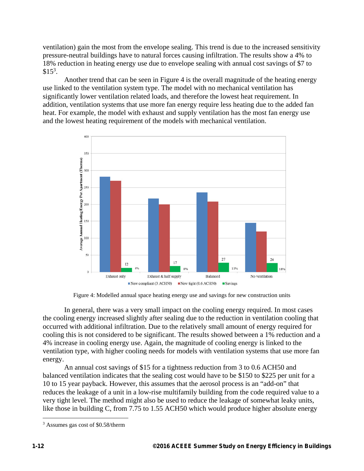ventilation) gain the most from the envelope sealing. This trend is due to the increased sensitivity pressure-neutral buildings have to natural forces causing infiltration. The results show a 4% to 18% reduction in heating energy use due to envelope sealing with annual cost savings of \$7 to  $$15^3$ .

Another trend that can be seen in Figure 4 is the overall magnitude of the heating energy use linked to the ventilation system type. The model with no mechanical ventilation has significantly lower ventilation related loads, and therefore the lowest heat requirement. In addition, ventilation systems that use more fan energy require less heating due to the added fan heat. For example, the model with exhaust and supply ventilation has the most fan energy use and the lowest heating requirement of the models with mechanical ventilation.



Figure 4: Modelled annual space heating energy use and savings for new construction units

In general, there was a very small impact on the cooling energy required. In most cases the cooling energy increased slightly after sealing due to the reduction in ventilation cooling that occurred with additional infiltration. Due to the relatively small amount of energy required for cooling this is not considered to be significant. The results showed between a 1% reduction and a 4% increase in cooling energy use. Again, the magnitude of cooling energy is linked to the ventilation type, with higher cooling needs for models with ventilation systems that use more fan energy.

An annual cost savings of \$15 for a tightness reduction from 3 to 0.6 ACH50 and balanced ventilation indicates that the sealing cost would have to be \$150 to \$225 per unit for a 10 to 15 year payback. However, this assumes that the aerosol process is an "add-on" that reduces the leakage of a unit in a low-rise multifamily building from the code required value to a very tight level. The method might also be used to reduce the leakage of somewhat leaky units, like those in building C, from 7.75 to 1.55 ACH50 which would produce higher absolute energy

<u>.</u>

<sup>&</sup>lt;sup>3</sup> Assumes gas cost of \$0.58/therm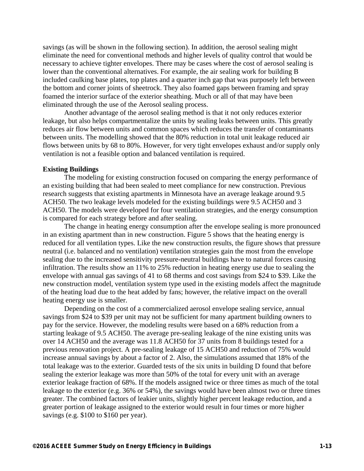savings (as will be shown in the following section). In addition, the aerosol sealing might eliminate the need for conventional methods and higher levels of quality control that would be necessary to achieve tighter envelopes. There may be cases where the cost of aerosol sealing is lower than the conventional alternatives. For example, the air sealing work for building B included caulking base plates, top plates and a quarter inch gap that was purposely left between the bottom and corner joints of sheetrock. They also foamed gaps between framing and spray foamed the interior surface of the exterior sheathing. Much or all of that may have been eliminated through the use of the Aerosol sealing process.

Another advantage of the aerosol sealing method is that it not only reduces exterior leakage, but also helps compartmentalize the units by sealing leaks between units. This greatly reduces air flow between units and common spaces which reduces the transfer of contaminants between units. The modelling showed that the 80% reduction in total unit leakage reduced air flows between units by 68 to 80%. However, for very tight envelopes exhaust and/or supply only ventilation is not a feasible option and balanced ventilation is required.

#### **Existing Buildings**

The modeling for existing construction focused on comparing the energy performance of an existing building that had been sealed to meet compliance for new construction. Previous research suggests that existing apartments in Minnesota have an average leakage around 9.5 ACH50. The two leakage levels modeled for the existing buildings were 9.5 ACH50 and 3 ACH50. The models were developed for four ventilation strategies, and the energy consumption is compared for each strategy before and after sealing.

The change in heating energy consumption after the envelope sealing is more pronounced in an existing apartment than in new construction. Figure 5 shows that the heating energy is reduced for all ventilation types. Like the new construction results, the figure shows that pressure neutral (i.e. balanced and no ventilation) ventilation strategies gain the most from the envelope sealing due to the increased sensitivity pressure-neutral buildings have to natural forces causing infiltration. The results show an 11% to 25% reduction in heating energy use due to sealing the envelope with annual gas savings of 41 to 68 therms and cost savings from \$24 to \$39. Like the new construction model, ventilation system type used in the existing models affect the magnitude of the heating load due to the heat added by fans; however, the relative impact on the overall heating energy use is smaller.

Depending on the cost of a commercialized aerosol envelope sealing service, annual savings from \$24 to \$39 per unit may not be sufficient for many apartment building owners to pay for the service. However, the modeling results were based on a 68% reduction from a starting leakage of 9.5 ACH50. The average pre-sealing leakage of the nine existing units was over 14 ACH50 and the average was 11.8 ACH50 for 37 units from 8 buildings tested for a previous renovation project. A pre-sealing leakage of 15 ACH50 and reduction of 75% would increase annual savings by about a factor of 2. Also, the simulations assumed that 18% of the total leakage was to the exterior. Guarded tests of the six units in building D found that before sealing the exterior leakage was more than 50% of the total for every unit with an average exterior leakage fraction of 68%. If the models assigned twice or three times as much of the total leakage to the exterior (e.g. 36% or 54%), the savings would have been almost two or three times greater. The combined factors of leakier units, slightly higher percent leakage reduction, and a greater portion of leakage assigned to the exterior would result in four times or more higher savings (e.g. \$100 to \$160 per year).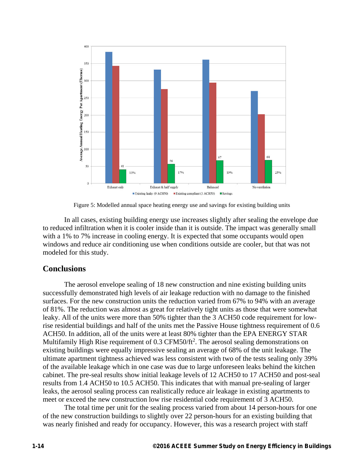

Figure 5: Modelled annual space heating energy use and savings for existing building units

In all cases, existing building energy use increases slightly after sealing the envelope due to reduced infiltration when it is cooler inside than it is outside. The impact was generally small with a 1% to 7% increase in cooling energy. It is expected that some occupants would open windows and reduce air conditioning use when conditions outside are cooler, but that was not modeled for this study.

# **Conclusions**

The aerosol envelope sealing of 18 new construction and nine existing building units successfully demonstrated high levels of air leakage reduction with no damage to the finished surfaces. For the new construction units the reduction varied from 67% to 94% with an average of 81%. The reduction was almost as great for relatively tight units as those that were somewhat leaky. All of the units were more than 50% tighter than the 3 ACH50 code requirement for lowrise residential buildings and half of the units met the Passive House tightness requirement of 0.6 ACH50. In addition, all of the units were at least 80% tighter than the EPA ENERGY STAR Multifamily High Rise requirement of  $0.3 \text{ CFM}$ 50/ft<sup>2</sup>. The aerosol sealing demonstrations on existing buildings were equally impressive sealing an average of 68% of the unit leakage. The ultimate apartment tightness achieved was less consistent with two of the tests sealing only 39% of the available leakage which in one case was due to large unforeseen leaks behind the kitchen cabinet. The pre-seal results show initial leakage levels of 12 ACH50 to 17 ACH50 and post-seal results from 1.4 ACH50 to 10.5 ACH50. This indicates that with manual pre-sealing of larger leaks, the aerosol sealing process can realistically reduce air leakage in existing apartments to meet or exceed the new construction low rise residential code requirement of 3 ACH50.

The total time per unit for the sealing process varied from about 14 person-hours for one of the new construction buildings to slightly over 22 person-hours for an existing building that was nearly finished and ready for occupancy. However, this was a research project with staff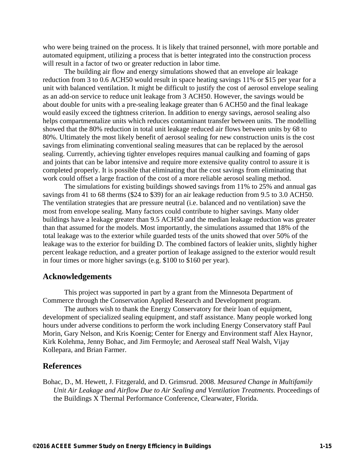who were being trained on the process. It is likely that trained personnel, with more portable and automated equipment, utilizing a process that is better integrated into the construction process will result in a factor of two or greater reduction in labor time.

The building air flow and energy simulations showed that an envelope air leakage reduction from 3 to 0.6 ACH50 would result in space heating savings 11% or \$15 per year for a unit with balanced ventilation. It might be difficult to justify the cost of aerosol envelope sealing as an add-on service to reduce unit leakage from 3 ACH50. However, the savings would be about double for units with a pre-sealing leakage greater than 6 ACH50 and the final leakage would easily exceed the tightness criterion. In addition to energy savings, aerosol sealing also helps compartmentalize units which reduces contaminant transfer between units. The modelling showed that the 80% reduction in total unit leakage reduced air flows between units by 68 to 80%. Ultimately the most likely benefit of aerosol sealing for new construction units is the cost savings from eliminating conventional sealing measures that can be replaced by the aerosol sealing. Currently, achieving tighter envelopes requires manual caulking and foaming of gaps and joints that can be labor intensive and require more extensive quality control to assure it is completed properly. It is possible that eliminating that the cost savings from eliminating that work could offset a large fraction of the cost of a more reliable aerosol sealing method.

The simulations for existing buildings showed savings from 11% to 25% and annual gas savings from 41 to 68 therms (\$24 to \$39) for an air leakage reduction from 9.5 to 3.0 ACH50. The ventilation strategies that are pressure neutral (i.e. balanced and no ventilation) save the most from envelope sealing. Many factors could contribute to higher savings. Many older buildings have a leakage greater than 9.5 ACH50 and the median leakage reduction was greater than that assumed for the models. Most importantly, the simulations assumed that 18% of the total leakage was to the exterior while guarded tests of the units showed that over 50% of the leakage was to the exterior for building D. The combined factors of leakier units, slightly higher percent leakage reduction, and a greater portion of leakage assigned to the exterior would result in four times or more higher savings (e.g. \$100 to \$160 per year).

### **Acknowledgements**

This project was supported in part by a grant from the Minnesota Department of Commerce through the Conservation Applied Research and Development program.

The authors wish to thank the Energy Conservatory for their loan of equipment, development of specialized sealing equipment, and staff assistance. Many people worked long hours under adverse conditions to perform the work including Energy Conservatory staff Paul Morin, Gary Nelson, and Kris Koenig; Center for Energy and Environment staff Alex Haynor, Kirk Kolehma, Jenny Bohac, and Jim Fermoyle; and Aeroseal staff Neal Walsh, Vijay Kollepara, and Brian Farmer.

# **References**

Bohac, D., M. Hewett, J. Fitzgerald, and D. Grimsrud. 2008. *Measured Change in Multifamily Unit Air Leakage and Airflow Due to Air Sealing and Ventilation Treatments*. Proceedings of the Buildings X Thermal Performance Conference, Clearwater, Florida.